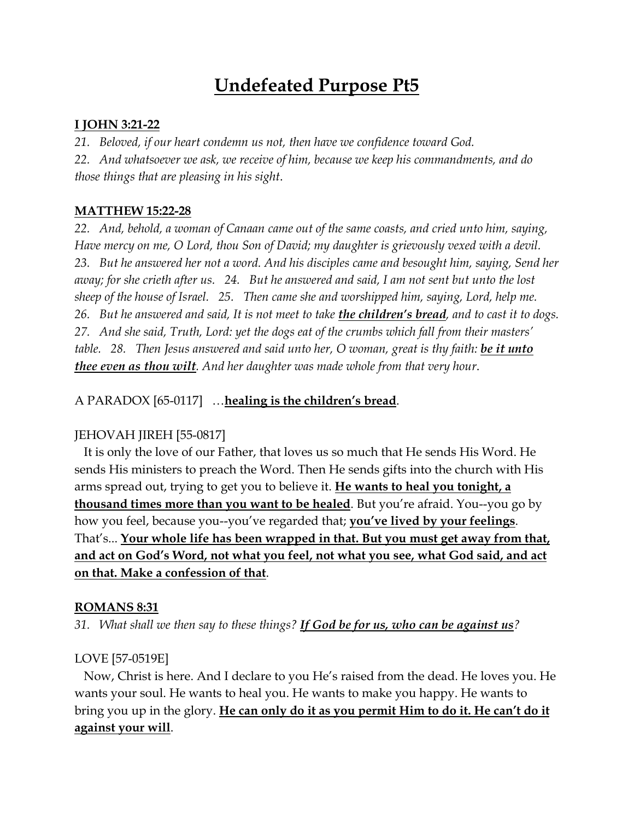# **Undefeated Purpose Pt5**

## **I JOHN 3:21-22**

*21. Beloved, if our heart condemn us not, then have we confidence toward God.*

*22. And whatsoever we ask, we receive of him, because we keep his commandments, and do those things that are pleasing in his sight*.

## **MATTHEW 15:22-28**

*22. And, behold, a woman of Canaan came out of the same coasts, and cried unto him, saying, Have mercy on me, O Lord, thou Son of David; my daughter is grievously vexed with a devil. 23. But he answered her not a word. And his disciples came and besought him, saying, Send her away; for she crieth after us. 24. But he answered and said, I am not sent but unto the lost sheep of the house of Israel. 25. Then came she and worshipped him, saying, Lord, help me. 26. But he answered and said, It is not meet to take the children's bread, and to cast it to dogs. 27. And she said, Truth, Lord: yet the dogs eat of the crumbs which fall from their masters' table. 28. Then Jesus answered and said unto her, O woman, great is thy faith: be it unto thee even as thou wilt. And her daughter was made whole from that very hour*.

## A PARADOX [65-0117] …**healing is the children's bread**.

## JEHOVAH JIREH [55-0817]

 It is only the love of our Father, that loves us so much that He sends His Word. He sends His ministers to preach the Word. Then He sends gifts into the church with His arms spread out, trying to get you to believe it. **He wants to heal you tonight, a thousand times more than you want to be healed**. But you're afraid. You--you go by how you feel, because you--you've regarded that; **you've lived by your feelings**. That's... **Your whole life has been wrapped in that. But you must get away from that, and act on God's Word, not what you feel, not what you see, what God said, and act on that. Make a confession of that**.

## **ROMANS 8:31**

*31. What shall we then say to these things? If God be for us, who can be against us?*

## LOVE [57-0519E]

 Now, Christ is here. And I declare to you He's raised from the dead. He loves you. He wants your soul. He wants to heal you. He wants to make you happy. He wants to bring you up in the glory. **He can only do it as you permit Him to do it. He can't do it against your will**.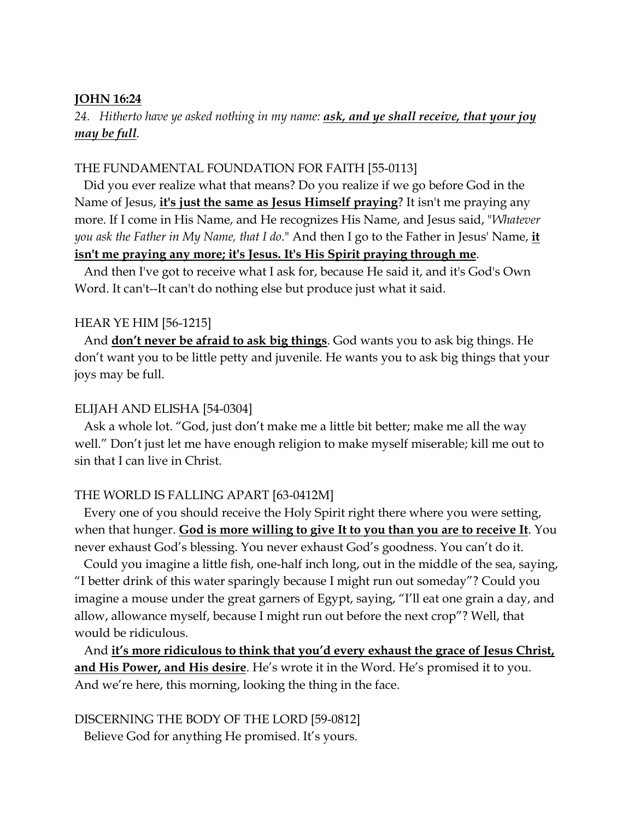#### **JOHN 16:24**

## *24. Hitherto have ye asked nothing in my name: ask, and ye shall receive, that your joy may be full*.

### THE FUNDAMENTAL FOUNDATION FOR FAITH [55-0113]

 Did you ever realize what that means? Do you realize if we go before God in the Name of Jesus, **it's just the same as Jesus Himself praying**? It isn't me praying any more. If I come in His Name, and He recognizes His Name, and Jesus said, "*Whatever you ask the Father in My Name, that I do*." And then I go to the Father in Jesus' Name, **it isn't me praying any more; it's Jesus. It's His Spirit praying through me**.

 And then I've got to receive what I ask for, because He said it, and it's God's Own Word. It can't--It can't do nothing else but produce just what it said.

#### HEAR YE HIM [56-1215]

 And **don't never be afraid to ask big things**. God wants you to ask big things. He don't want you to be little petty and juvenile. He wants you to ask big things that your joys may be full.

#### ELIJAH AND ELISHA [54-0304]

 Ask a whole lot. "God, just don't make me a little bit better; make me all the way well." Don't just let me have enough religion to make myself miserable; kill me out to sin that I can live in Christ.

#### THE WORLD IS FALLING APART [63-0412M]

 Every one of you should receive the Holy Spirit right there where you were setting, when that hunger. **God is more willing to give It to you than you are to receive It**. You never exhaust God's blessing. You never exhaust God's goodness. You can't do it.

 Could you imagine a little fish, one-half inch long, out in the middle of the sea, saying, "I better drink of this water sparingly because I might run out someday"? Could you imagine a mouse under the great garners of Egypt, saying, "I'll eat one grain a day, and allow, allowance myself, because I might run out before the next crop"? Well, that would be ridiculous.

 And **it's more ridiculous to think that you'd every exhaust the grace of Jesus Christ, and His Power, and His desire**. He's wrote it in the Word. He's promised it to you. And we're here, this morning, looking the thing in the face.

#### DISCERNING THE BODY OF THE LORD [59-0812]

Believe God for anything He promised. It's yours.